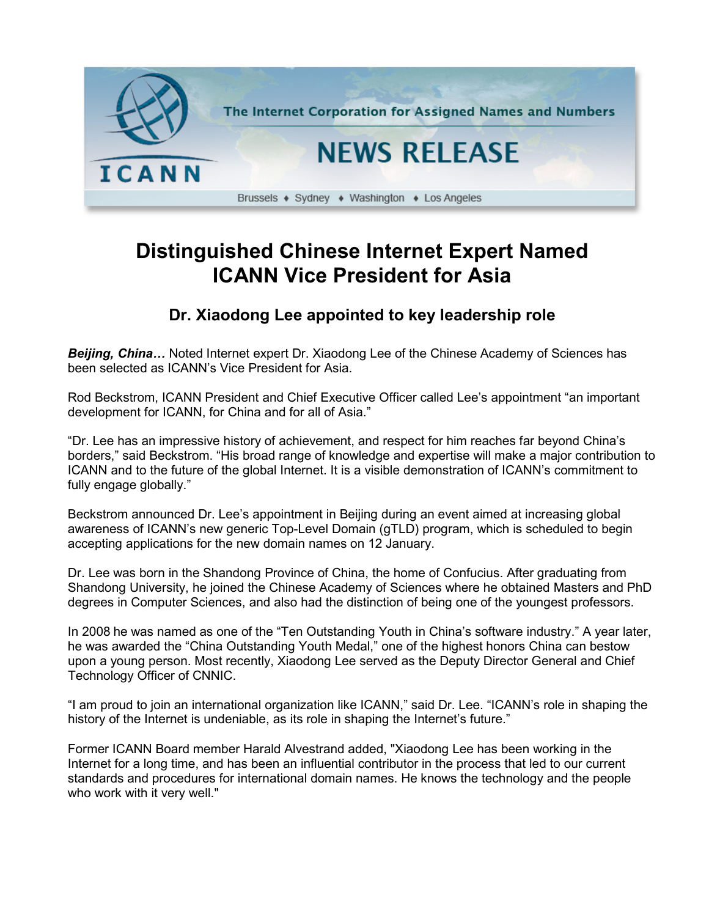

## **Distinguished Chinese Internet Expert Named ICANN Vice President for Asia**

## **Dr. Xiaodong Lee appointed to key leadership role**

**Beijing, China...** Noted Internet expert Dr. Xiaodong Lee of the Chinese Academy of Sciences has been selected as ICANN's Vice President for Asia.

Rod Beckstrom, ICANN President and Chief Executive Officer called Lee's appointment "an important development for ICANN, for China and for all of Asia."

"Dr. Lee has an impressive history of achievement, and respect for him reaches far beyond China's borders," said Beckstrom. "His broad range of knowledge and expertise will make a major contribution to ICANN and to the future of the global Internet. It is a visible demonstration of ICANN's commitment to fully engage globally."

Beckstrom announced Dr. Lee's appointment in Beijing during an event aimed at increasing global awareness of ICANN's new generic Top-Level Domain (gTLD) program, which is scheduled to begin accepting applications for the new domain names on 12 January.

Dr. Lee was born in the Shandong Province of China, the home of Confucius. After graduating from Shandong University, he joined the Chinese Academy of Sciences where he obtained Masters and PhD degrees in Computer Sciences, and also had the distinction of being one of the youngest professors.

In 2008 he was named as one of the "Ten Outstanding Youth in China's software industry." A year later, he was awarded the "China Outstanding Youth Medal," one of the highest honors China can bestow upon a young person. Most recently, Xiaodong Lee served as the Deputy Director General and Chief Technology Officer of CNNIC.

"I am proud to join an international organization like ICANN," said Dr. Lee. "ICANN's role in shaping the history of the Internet is undeniable, as its role in shaping the Internet's future."

Former ICANN Board member Harald Alvestrand added, "Xiaodong Lee has been working in the Internet for a long time, and has been an influential contributor in the process that led to our current standards and procedures for international domain names. He knows the technology and the people who work with it very well."